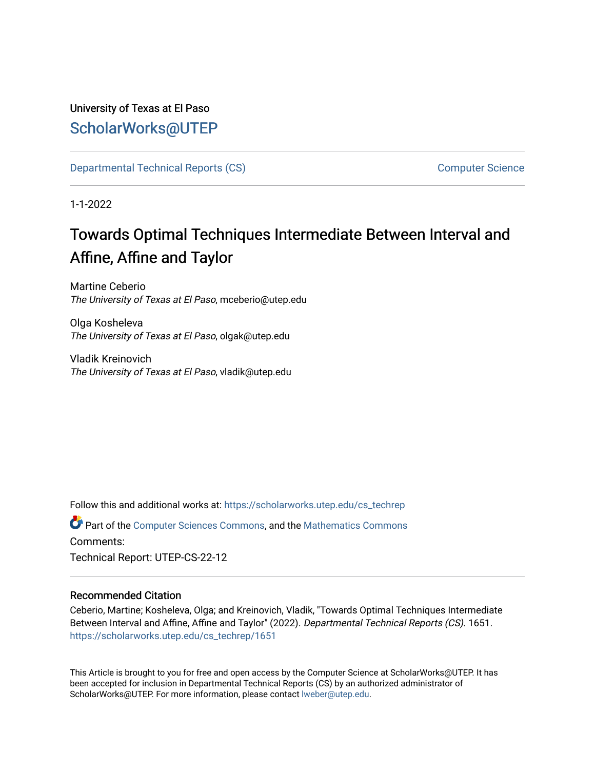University of Texas at El Paso [ScholarWorks@UTEP](https://scholarworks.utep.edu/)

[Departmental Technical Reports \(CS\)](https://scholarworks.utep.edu/cs_techrep) [Computer Science](https://scholarworks.utep.edu/computer) 

1-1-2022

# Towards Optimal Techniques Intermediate Between Interval and Affine, Affine and Taylor

Martine Ceberio The University of Texas at El Paso, mceberio@utep.edu

Olga Kosheleva The University of Texas at El Paso, olgak@utep.edu

Vladik Kreinovich The University of Texas at El Paso, vladik@utep.edu

Follow this and additional works at: [https://scholarworks.utep.edu/cs\\_techrep](https://scholarworks.utep.edu/cs_techrep?utm_source=scholarworks.utep.edu%2Fcs_techrep%2F1651&utm_medium=PDF&utm_campaign=PDFCoverPages) 

Part of the [Computer Sciences Commons](http://network.bepress.com/hgg/discipline/142?utm_source=scholarworks.utep.edu%2Fcs_techrep%2F1651&utm_medium=PDF&utm_campaign=PDFCoverPages), and the [Mathematics Commons](http://network.bepress.com/hgg/discipline/174?utm_source=scholarworks.utep.edu%2Fcs_techrep%2F1651&utm_medium=PDF&utm_campaign=PDFCoverPages)  Comments:

Technical Report: UTEP-CS-22-12

### Recommended Citation

Ceberio, Martine; Kosheleva, Olga; and Kreinovich, Vladik, "Towards Optimal Techniques Intermediate Between Interval and Affine, Affine and Taylor" (2022). Departmental Technical Reports (CS). 1651. [https://scholarworks.utep.edu/cs\\_techrep/1651](https://scholarworks.utep.edu/cs_techrep/1651?utm_source=scholarworks.utep.edu%2Fcs_techrep%2F1651&utm_medium=PDF&utm_campaign=PDFCoverPages) 

This Article is brought to you for free and open access by the Computer Science at ScholarWorks@UTEP. It has been accepted for inclusion in Departmental Technical Reports (CS) by an authorized administrator of ScholarWorks@UTEP. For more information, please contact [lweber@utep.edu](mailto:lweber@utep.edu).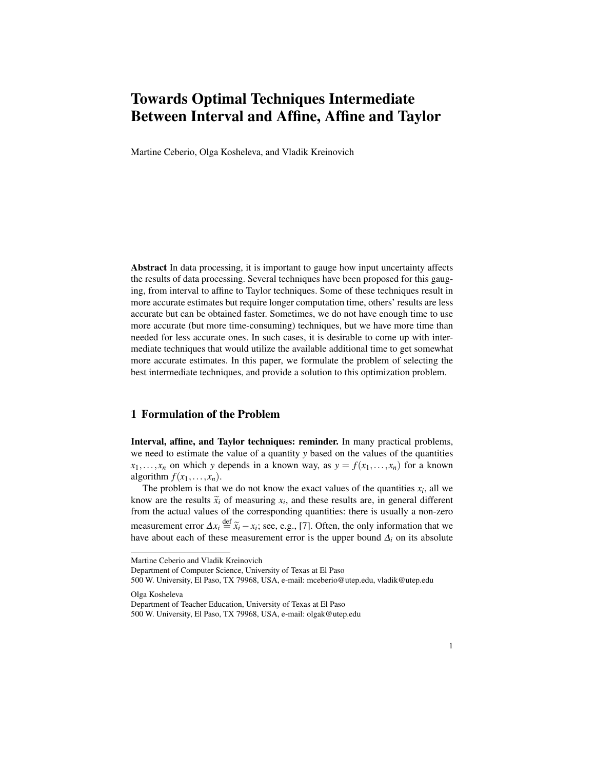# Towards Optimal Techniques Intermediate Between Interval and Affine, Affine and Taylor

Martine Ceberio, Olga Kosheleva, and Vladik Kreinovich

Abstract In data processing, it is important to gauge how input uncertainty affects the results of data processing. Several techniques have been proposed for this gauging, from interval to affine to Taylor techniques. Some of these techniques result in more accurate estimates but require longer computation time, others' results are less accurate but can be obtained faster. Sometimes, we do not have enough time to use more accurate (but more time-consuming) techniques, but we have more time than needed for less accurate ones. In such cases, it is desirable to come up with intermediate techniques that would utilize the available additional time to get somewhat more accurate estimates. In this paper, we formulate the problem of selecting the best intermediate techniques, and provide a solution to this optimization problem.

## 1 Formulation of the Problem

Interval, affine, and Taylor techniques: reminder. In many practical problems, we need to estimate the value of a quantity *y* based on the values of the quantities  $x_1, \ldots, x_n$  on which *y* depends in a known way, as  $y = f(x_1, \ldots, x_n)$  for a known algorithm  $f(x_1, \ldots, x_n)$ .

The problem is that we do not know the exact values of the quantities  $x_i$ , all we know are the results  $\tilde{x}_i$  of measuring  $x_i$ , and these results are, in general different from the actual values of the corresponding quantities; there is usually a non-zero from the actual values of the corresponding quantities: there is usually a non-zero measurement error  $\Delta x_i \stackrel{\text{def}}{=} \tilde{x}_i - x_i$ ; see, e.g., [7]. Often, the only information that we<br>have about each of these measurement error is the upper bound A, on its absolute have about each of these measurement error is the upper bound  $\Delta_i$  on its absolute

Department of Computer Science, University of Texas at El Paso

Olga Kosheleva

Martine Ceberio and Vladik Kreinovich

<sup>500</sup> W. University, El Paso, TX 79968, USA, e-mail: mceberio@utep.edu, vladik@utep.edu

Department of Teacher Education, University of Texas at El Paso

<sup>500</sup> W. University, El Paso, TX 79968, USA, e-mail: olgak@utep.edu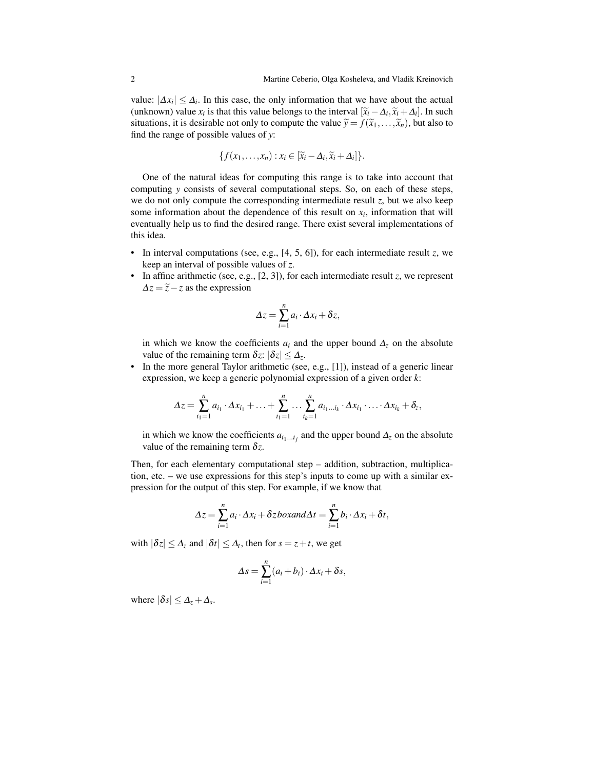value:  $|\Delta x_i| \leq \Delta_i$ . In this case, the only information that we have about the actual (unknown) value  $x_i$  is that this value belongs to the interval  $[\tilde{x}_i - \Delta_i, \tilde{x}_i + \Delta_i]$ . In such situations, it is desirable not only to compute the value  $\tilde{y} = f(\tilde{x}_i, \tilde{y}_i)$  but also to situations, it is desirable not only to compute the value  $\widetilde{y} = f(\widetilde{x}_1,\ldots,\widetilde{x}_n)$ , but also to find the range of possible values of *y*:

$$
\{f(x_1,\ldots,x_n):x_i\in [\widetilde{x}_i-\Delta_i,\widetilde{x}_i+\Delta_i]\}.
$$

One of the natural ideas for computing this range is to take into account that computing *y* consists of several computational steps. So, on each of these steps, we do not only compute the corresponding intermediate result  $z$ , but we also keep some information about the dependence of this result on  $x_i$ , information that will eventually help us to find the desired range. There exist several implementations of this idea.

- In interval computations (see, e.g.,  $[4, 5, 6]$ ), for each intermediate result  $z$ , we keep an interval of possible values of *z*.
- In affine arithmetic (see, e.g., [2, 3]), for each intermediate result *z*, we represent  $\Delta z = \tilde{z} - z$  as the expression

$$
\Delta z = \sum_{i=1}^n a_i \cdot \Delta x_i + \delta z,
$$

in which we know the coefficients  $a_i$  and the upper bound  $\Delta_z$  on the absolute value of the remaining term  $\delta z$ :  $|\delta z| \leq \Delta_z$ .

• In the more general Taylor arithmetic (see, e.g., [1]), instead of a generic linear expression, we keep a generic polynomial expression of a given order *k*:

$$
\Delta z = \sum_{i_1=1}^n a_{i_1} \cdot \Delta x_{i_1} + \ldots + \sum_{i_1=1}^n \ldots \sum_{i_k=1}^n a_{i_1 \ldots i_k} \cdot \Delta x_{i_1} \cdot \ldots \cdot \Delta x_{i_k} + \delta_z,
$$

in which we know the coefficients  $a_{i_1...i_j}$  and the upper bound  $\Delta_z$  on the absolute value of the remaining term  $\delta z$ .

Then, for each elementary computational step – addition, subtraction, multiplication, etc. – we use expressions for this step's inputs to come up with a similar expression for the output of this step. For example, if we know that

$$
\Delta z = \sum_{i=1}^n a_i \cdot \Delta x_i + \delta z \, box and \Delta t = \sum_{i=1}^n b_i \cdot \Delta x_i + \delta t,
$$

with  $|\delta z| \leq \Delta_z$  and  $|\delta t| \leq \Delta_t$ , then for  $s = z + t$ , we get

$$
\Delta s = \sum_{i=1}^{n} (a_i + b_i) \cdot \Delta x_i + \delta s,
$$

where  $|\delta s| \leq \Delta_z + \Delta_s$ .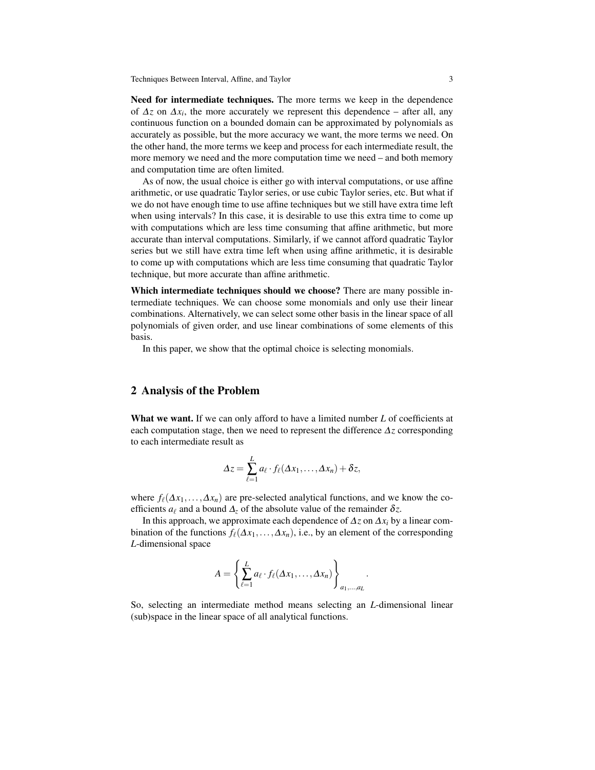Need for intermediate techniques. The more terms we keep in the dependence of  $\Delta z$  on  $\Delta x_i$ , the more accurately we represent this dependence – after all, any continuous function on a bounded domain can be approximated by polynomials as accurately as possible, but the more accuracy we want, the more terms we need. On the other hand, the more terms we keep and process for each intermediate result, the more memory we need and the more computation time we need – and both memory and computation time are often limited.

As of now, the usual choice is either go with interval computations, or use affine arithmetic, or use quadratic Taylor series, or use cubic Taylor series, etc. But what if we do not have enough time to use affine techniques but we still have extra time left when using intervals? In this case, it is desirable to use this extra time to come up with computations which are less time consuming that affine arithmetic, but more accurate than interval computations. Similarly, if we cannot afford quadratic Taylor series but we still have extra time left when using affine arithmetic, it is desirable to come up with computations which are less time consuming that quadratic Taylor technique, but more accurate than affine arithmetic.

Which intermediate techniques should we choose? There are many possible intermediate techniques. We can choose some monomials and only use their linear combinations. Alternatively, we can select some other basis in the linear space of all polynomials of given order, and use linear combinations of some elements of this basis.

In this paper, we show that the optimal choice is selecting monomials.

#### 2 Analysis of the Problem

What we want. If we can only afford to have a limited number *L* of coefficients at each computation stage, then we need to represent the difference ∆*z* corresponding to each intermediate result as

$$
\Delta z = \sum_{\ell=1}^L a_\ell \cdot f_\ell(\Delta x_1,\ldots,\Delta x_n) + \delta z,
$$

where  $f_{\ell}(\Delta x_1,\ldots,\Delta x_n)$  are pre-selected analytical functions, and we know the coefficients  $a_\ell$  and a bound  $\Delta_z$  of the absolute value of the remainder  $\delta z$ .

In this approach, we approximate each dependence of  $\Delta z$  on  $\Delta x_i$  by a linear combination of the functions  $f_\ell(\Delta x_1,\ldots,\Delta x_n)$ , i.e., by an element of the corresponding *L*-dimensional space

$$
A = \left\{ \sum_{\ell=1}^{L} a_{\ell} \cdot f_{\ell}(\Delta x_1, \dots, \Delta x_n) \right\}_{a_1, \dots, a_L}
$$

.

So, selecting an intermediate method means selecting an *L*-dimensional linear (sub)space in the linear space of all analytical functions.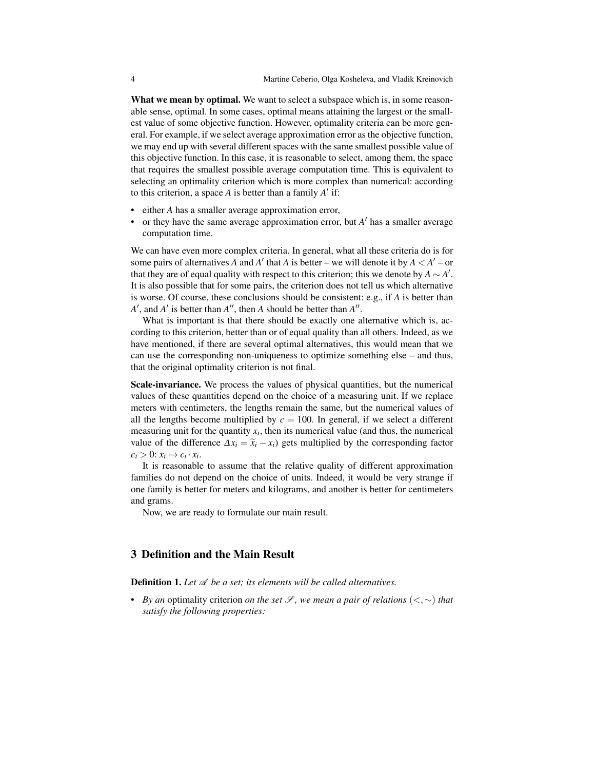What we mean by optimal. We want to select a subspace which is, in some reasonable sense, optimal. In some cases, optimal means attaining the largest or the smallest value of some objective function. However, optimality criteria can be more general. For example, if we select average approximation error as the objective function, we may end up with several different spaces with the same smallest possible value of this objective function. In this case, it is reasonable to select, among them, the space that requires the smallest possible average computation time. This is equivalent to selecting an optimality criterion which is more complex than numerical: according to this criterion, a space *A* is better than a family *A* ′ if:

- either *A* has a smaller average approximation error,
- or they have the same average approximation error, but *A* ′ has a smaller average computation time.

We can have even more complex criteria. In general, what all these criteria do is for some pairs of alternatives *A* and *A'* that *A* is better – we will denote it by  $A < A'$  – or that they are of equal quality with respect to this criterion; this we denote by  $A \sim A'$ . It is also possible that for some pairs, the criterion does not tell us which alternative is worse. Of course, these conclusions should be consistent: e.g., if *A* is better than *A'*, and *A'* is better than *A''*, then *A* should be better than *A''*.

What is important is that there should be exactly one alternative which is, according to this criterion, better than or of equal quality than all others. Indeed, as we have mentioned, if there are several optimal alternatives, this would mean that we can use the corresponding non-uniqueness to optimize something else – and thus, that the original optimality criterion is not final.

Scale-invariance. We process the values of physical quantities, but the numerical values of these quantities depend on the choice of a measuring unit. If we replace meters with centimeters, the lengths remain the same, but the numerical values of all the lengths become multiplied by  $c = 100$ . In general, if we select a different measuring unit for the quantity  $x_i$ , then its numerical value (and thus, the numerical value of the difference  $\Delta x_i = \tilde{x}_i - x_i$  gets multiplied by the corresponding factor  $c_i > 0$ :  $x_i \mapsto c_i \cdot x_i$ .

It is reasonable to assume that the relative quality of different approximation families do not depend on the choice of units. Indeed, it would be very strange if one family is better for meters and kilograms, and another is better for centimeters and grams.

Now, we are ready to formulate our main result.

#### 3 Definition and the Main Result

**Definition 1.** Let  $\mathcal A$  be a set; its elements will be called alternatives.

*• By an optimality criterion <i>on the set* S, we mean a pair of relations (<,∼) that *satisfy the following properties:*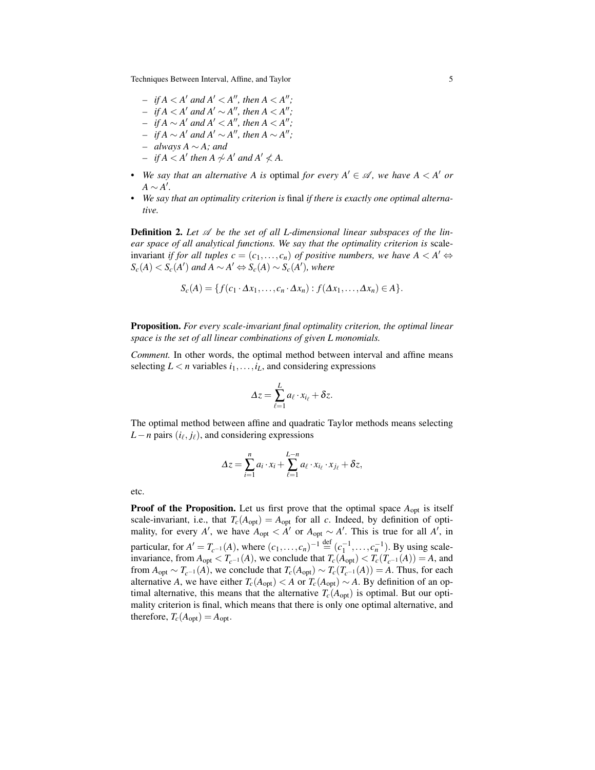Techniques Between Interval, Affine, and Taylor 5

- $-$  *if*  $A < A'$  *and*  $A' < A''$ *, then*  $A < A''$ *;*
- $\leftarrow$  *if*  $A \leq A'$  and  $A' \sim A''$ , then  $A \leq A''$ ;
- $\leftarrow$  *if*  $A \sim A'$  and  $A' < A''$ , then  $A < A''$ ;
- $\rightarrow$  *if*  $A \sim A'$  and  $A' \sim A''$ , then  $A \sim A''$ ;
- *– always A* ∼ *A; and*
- $-$  *if*  $A < A'$  *then*  $A \nsim A'$  *and*  $A' \nless A$ .
- We say that an alternative A is optimal for every  $A' \in \mathcal{A}$ , we have  $A < A'$  or *A* ∼ *A* ′ *.*
- *• We say that an optimality criterion is* final *if there is exactly one optimal alternative.*

**Definition 2.** Let  $\mathcal{A}$  be the set of all L-dimensional linear subspaces of the lin*ear space of all analytical functions. We say that the optimality criterion is* scaleinvariant *if for all tuples*  $c = (c_1, \ldots, c_n)$  *of positive numbers, we have*  $A \leq A' \Leftrightarrow$  $S_c(A)$  <  $S_c(A')$  and  $A \sim A'$  ⇔  $S_c(A) \sim S_c(A')$ *, where* 

$$
S_c(A) = \{f(c_1 \cdot \Delta x_1, \ldots, c_n \cdot \Delta x_n) : f(\Delta x_1, \ldots, \Delta x_n) \in A\}.
$$

Proposition. *For every scale-invariant final optimality criterion, the optimal linear space is the set of all linear combinations of given L monomials.*

*Comment.* In other words, the optimal method between interval and affine means selecting  $L < n$  variables  $i_1, \ldots, i_L$ , and considering expressions

$$
\Delta z = \sum_{\ell=1}^L a_\ell \cdot x_{i_\ell} + \delta z.
$$

The optimal method between affine and quadratic Taylor methods means selecting *L*−*n* pairs ( $i$ <sup>*ℓ*</sup>,  $j$ <sup>*ℓ*</sup>), and considering expressions

$$
\Delta z = \sum_{i=1}^n a_i \cdot x_i + \sum_{\ell=1}^{L-n} a_\ell \cdot x_{i_\ell} \cdot x_{j_\ell} + \delta z,
$$

| .,<br>٠<br>. |
|--------------|
|--------------|

**Proof of the Proposition.** Let us first prove that the optimal space  $A_{opt}$  is itself scale-invariant, i.e., that  $T_c(A_{opt}) = A_{opt}$  for all *c*. Indeed, by definition of optimality, for every *A'*, we have  $A_{opt} < A'$  or  $A_{opt} \sim A'$ . This is true for all *A'*, in particular, for  $A' = T_{c^{-1}}(A)$ , where  $(c_1, ..., c_n)^{-1} \stackrel{\text{def}}{=} (c_1^{-1}, ..., c_n^{-1})$ . By using scaleinvariance, from  $A_{opt} < T_c-1(A)$ , we conclude that  $T_c(A_{opt}) < T_c(T_c-1(A)) = A$ , and from  $A_{opt} \sim T_{c^{-1}}(A)$ , we conclude that  $T_c(A_{opt}) \sim T_c(T_{c^{-1}}(A)) = A$ . Thus, for each alternative *A*, we have either  $T_c(A_{opt}) < A$  or  $T_c(A_{opt}) \sim A$ . By definition of an optimal alternative, this means that the alternative  $T_c(A_{opt})$  is optimal. But our optimality criterion is final, which means that there is only one optimal alternative, and therefore,  $T_c(A_{opt}) = A_{opt}$ .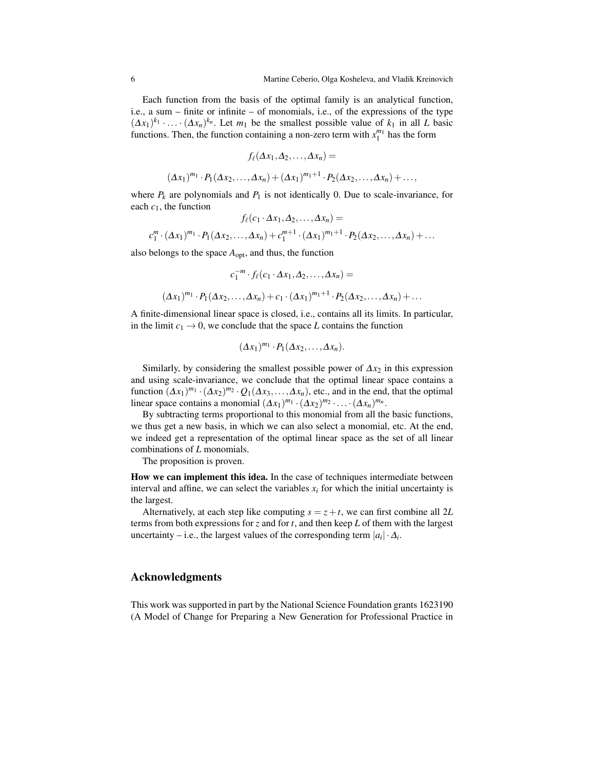Each function from the basis of the optimal family is an analytical function, i.e., a sum – finite or infinite – of monomials, i.e., of the expressions of the type  $(\Delta x_1)^{k_1} \cdot \ldots \cdot (\Delta x_n)^{k_n}$ . Let  $m_1$  be the smallest possible value of  $k_1$  in all *L* basic functions. Then, the function containing a non-zero term with  $x_1^{m_1}$  has the form

$$
f_{\ell}(\Delta x_1, \Delta_2, \ldots, \Delta x_n) =
$$
  

$$
(\Delta x_1)^{m_1} \cdot P_1(\Delta x_2, \ldots, \Delta x_n) + (\Delta x_1)^{m_1+1} \cdot P_2(\Delta x_2, \ldots, \Delta x_n) + \ldots,
$$

where  $P_k$  are polynomials and  $P_1$  is not identically 0. Due to scale-invariance, for each  $c_1$ , the function

$$
f_{\ell}(c_1 \cdot \Delta x_1, \Delta_2, \dots, \Delta x_n) =
$$
  

$$
c_1^m \cdot (\Delta x_1)^{m_1} \cdot P_1(\Delta x_2, \dots, \Delta x_n) + c_1^{m+1} \cdot (\Delta x_1)^{m_1+1} \cdot P_2(\Delta x_2, \dots, \Delta x_n) + \dots
$$

also belongs to the space *A*opt, and thus, the function

$$
c_1^{-m} \cdot f_\ell(c_1 \cdot \Delta x_1, \Delta_2, \dots, \Delta x_n) =
$$
  

$$
(\Delta x_1)^{m_1} \cdot P_1(\Delta x_2, \dots, \Delta x_n) + c_1 \cdot (\Delta x_1)^{m_1+1} \cdot P_2(\Delta x_2, \dots, \Delta x_n) + \dots
$$

A finite-dimensional linear space is closed, i.e., contains all its limits. In particular, in the limit  $c_1 \rightarrow 0$ , we conclude that the space *L* contains the function

$$
(\Delta x_1)^{m_1} \cdot P_1(\Delta x_2,\ldots,\Delta x_n).
$$

Similarly, by considering the smallest possible power of  $\Delta x_2$  in this expression and using scale-invariance, we conclude that the optimal linear space contains a function  $(\Delta x_1)^{m_1} \cdot (\Delta x_2)^{m_2} \cdot Q_1(\Delta x_3,\ldots,\Delta x_n)$ , etc., and in the end, that the optimal linear space contains a monomial  $(\Delta x_1)^{m_1} \cdot (\Delta x_2)^{m_2} \cdot \ldots \cdot (\Delta x_n)^{m_n}$ .

By subtracting terms proportional to this monomial from all the basic functions, we thus get a new basis, in which we can also select a monomial, etc. At the end, we indeed get a representation of the optimal linear space as the set of all linear combinations of *L* monomials.

The proposition is proven.

How we can implement this idea. In the case of techniques intermediate between interval and affine, we can select the variables  $x_i$  for which the initial uncertainty is the largest.

Alternatively, at each step like computing  $s = z + t$ , we can first combine all 2L terms from both expressions for *z* and for *t*, and then keep *L* of them with the largest uncertainty – i.e., the largest values of the corresponding term  $|a_i| \cdot \Delta_i$ .

#### Acknowledgments

This work was supported in part by the National Science Foundation grants 1623190 (A Model of Change for Preparing a New Generation for Professional Practice in